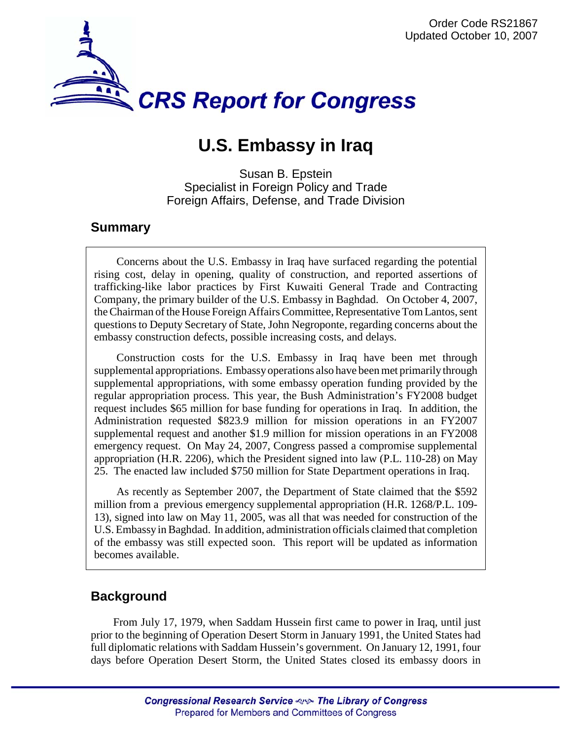

# **U.S. Embassy in Iraq**

Susan B. Epstein Specialist in Foreign Policy and Trade Foreign Affairs, Defense, and Trade Division

## **Summary**

Concerns about the U.S. Embassy in Iraq have surfaced regarding the potential rising cost, delay in opening, quality of construction, and reported assertions of trafficking-like labor practices by First Kuwaiti General Trade and Contracting Company, the primary builder of the U.S. Embassy in Baghdad. On October 4, 2007, the Chairman of the House Foreign Affairs Committee, Representative Tom Lantos, sent questions to Deputy Secretary of State, John Negroponte, regarding concerns about the embassy construction defects, possible increasing costs, and delays.

Construction costs for the U.S. Embassy in Iraq have been met through supplemental appropriations. Embassy operations also have been met primarily through supplemental appropriations, with some embassy operation funding provided by the regular appropriation process. This year, the Bush Administration's FY2008 budget request includes \$65 million for base funding for operations in Iraq. In addition, the Administration requested \$823.9 million for mission operations in an FY2007 supplemental request and another \$1.9 million for mission operations in an FY2008 emergency request. On May 24, 2007, Congress passed a compromise supplemental appropriation (H.R. 2206), which the President signed into law (P.L. 110-28) on May 25. The enacted law included \$750 million for State Department operations in Iraq.

As recently as September 2007, the Department of State claimed that the \$592 million from a previous emergency supplemental appropriation (H.R. 1268/P.L. 109- 13), signed into law on May 11, 2005, was all that was needed for construction of the U.S. Embassy in Baghdad. In addition, administration officials claimed that completion of the embassy was still expected soon. This report will be updated as information becomes available.

# **Background**

From July 17, 1979, when Saddam Hussein first came to power in Iraq, until just prior to the beginning of Operation Desert Storm in January 1991, the United States had full diplomatic relations with Saddam Hussein's government. On January 12, 1991, four days before Operation Desert Storm, the United States closed its embassy doors in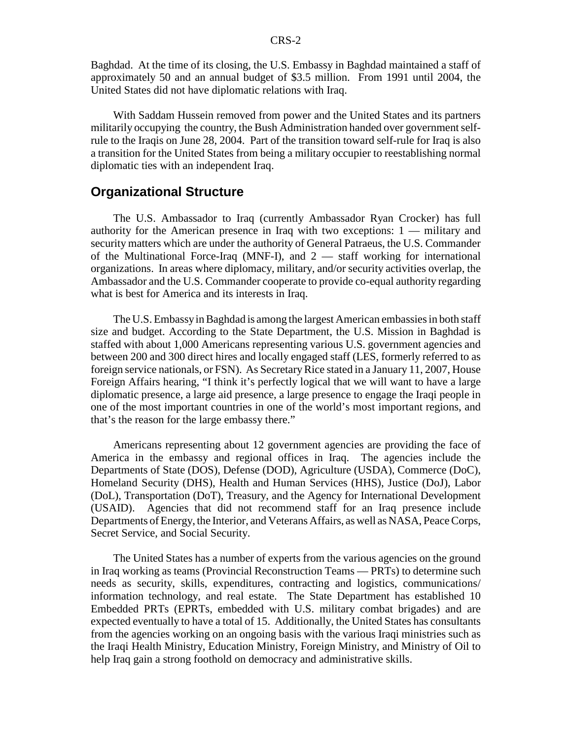Baghdad. At the time of its closing, the U.S. Embassy in Baghdad maintained a staff of approximately 50 and an annual budget of \$3.5 million. From 1991 until 2004, the United States did not have diplomatic relations with Iraq.

With Saddam Hussein removed from power and the United States and its partners militarily occupying the country, the Bush Administration handed over government selfrule to the Iraqis on June 28, 2004. Part of the transition toward self-rule for Iraq is also a transition for the United States from being a military occupier to reestablishing normal diplomatic ties with an independent Iraq.

#### **Organizational Structure**

The U.S. Ambassador to Iraq (currently Ambassador Ryan Crocker) has full authority for the American presence in Iraq with two exceptions: 1 — military and security matters which are under the authority of General Patraeus, the U.S. Commander of the Multinational Force-Iraq (MNF-I), and 2 — staff working for international organizations. In areas where diplomacy, military, and/or security activities overlap, the Ambassador and the U.S. Commander cooperate to provide co-equal authority regarding what is best for America and its interests in Iraq.

The U.S. Embassy in Baghdad is among the largest American embassies in both staff size and budget. According to the State Department, the U.S. Mission in Baghdad is staffed with about 1,000 Americans representing various U.S. government agencies and between 200 and 300 direct hires and locally engaged staff (LES, formerly referred to as foreign service nationals, or FSN). As Secretary Rice stated in a January 11, 2007, House Foreign Affairs hearing, "I think it's perfectly logical that we will want to have a large diplomatic presence, a large aid presence, a large presence to engage the Iraqi people in one of the most important countries in one of the world's most important regions, and that's the reason for the large embassy there."

Americans representing about 12 government agencies are providing the face of America in the embassy and regional offices in Iraq. The agencies include the Departments of State (DOS), Defense (DOD), Agriculture (USDA), Commerce (DoC), Homeland Security (DHS), Health and Human Services (HHS), Justice (DoJ), Labor (DoL), Transportation (DoT), Treasury, and the Agency for International Development (USAID). Agencies that did not recommend staff for an Iraq presence include Departments of Energy, the Interior, and Veterans Affairs, as well as NASA, Peace Corps, Secret Service, and Social Security.

The United States has a number of experts from the various agencies on the ground in Iraq working as teams (Provincial Reconstruction Teams — PRTs) to determine such needs as security, skills, expenditures, contracting and logistics, communications/ information technology, and real estate. The State Department has established 10 Embedded PRTs (EPRTs, embedded with U.S. military combat brigades) and are expected eventually to have a total of 15. Additionally, the United States has consultants from the agencies working on an ongoing basis with the various Iraqi ministries such as the Iraqi Health Ministry, Education Ministry, Foreign Ministry, and Ministry of Oil to help Iraq gain a strong foothold on democracy and administrative skills.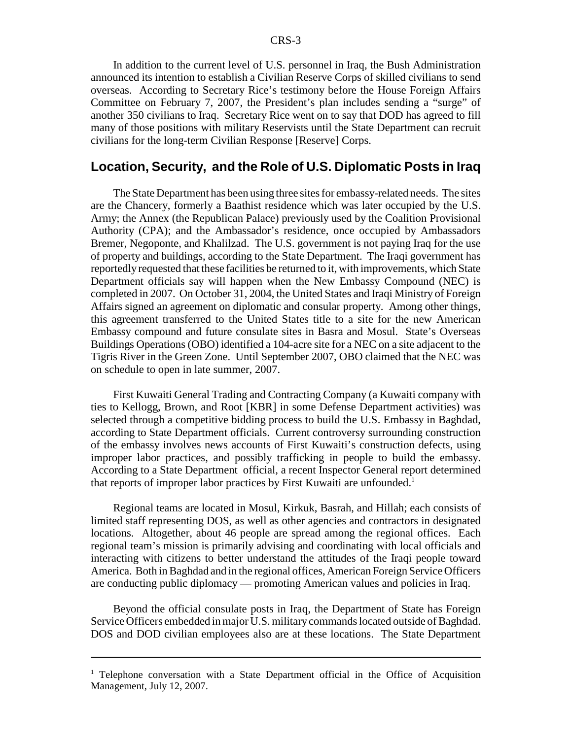In addition to the current level of U.S. personnel in Iraq, the Bush Administration announced its intention to establish a Civilian Reserve Corps of skilled civilians to send overseas. According to Secretary Rice's testimony before the House Foreign Affairs Committee on February 7, 2007, the President's plan includes sending a "surge" of another 350 civilians to Iraq. Secretary Rice went on to say that DOD has agreed to fill many of those positions with military Reservists until the State Department can recruit civilians for the long-term Civilian Response [Reserve] Corps.

#### **Location, Security, and the Role of U.S. Diplomatic Posts in Iraq**

The State Department has been using three sites for embassy-related needs. The sites are the Chancery, formerly a Baathist residence which was later occupied by the U.S. Army; the Annex (the Republican Palace) previously used by the Coalition Provisional Authority (CPA); and the Ambassador's residence, once occupied by Ambassadors Bremer, Negoponte, and Khalilzad. The U.S. government is not paying Iraq for the use of property and buildings, according to the State Department. The Iraqi government has reportedly requested that these facilities be returned to it, with improvements, which State Department officials say will happen when the New Embassy Compound (NEC) is completed in 2007. On October 31, 2004, the United States and Iraqi Ministry of Foreign Affairs signed an agreement on diplomatic and consular property. Among other things, this agreement transferred to the United States title to a site for the new American Embassy compound and future consulate sites in Basra and Mosul. State's Overseas Buildings Operations (OBO) identified a 104-acre site for a NEC on a site adjacent to the Tigris River in the Green Zone. Until September 2007, OBO claimed that the NEC was on schedule to open in late summer, 2007.

First Kuwaiti General Trading and Contracting Company (a Kuwaiti company with ties to Kellogg, Brown, and Root [KBR] in some Defense Department activities) was selected through a competitive bidding process to build the U.S. Embassy in Baghdad, according to State Department officials. Current controversy surrounding construction of the embassy involves news accounts of First Kuwaiti's construction defects, using improper labor practices, and possibly trafficking in people to build the embassy. According to a State Department official, a recent Inspector General report determined that reports of improper labor practices by First Kuwaiti are unfounded.<sup>1</sup>

Regional teams are located in Mosul, Kirkuk, Basrah, and Hillah; each consists of limited staff representing DOS, as well as other agencies and contractors in designated locations. Altogether, about 46 people are spread among the regional offices. Each regional team's mission is primarily advising and coordinating with local officials and interacting with citizens to better understand the attitudes of the Iraqi people toward America. Both in Baghdad and in the regional offices, American Foreign Service Officers are conducting public diplomacy — promoting American values and policies in Iraq.

Beyond the official consulate posts in Iraq, the Department of State has Foreign Service Officers embedded in major U.S. military commands located outside of Baghdad. DOS and DOD civilian employees also are at these locations. The State Department

<sup>&</sup>lt;sup>1</sup> Telephone conversation with a State Department official in the Office of Acquisition Management, July 12, 2007.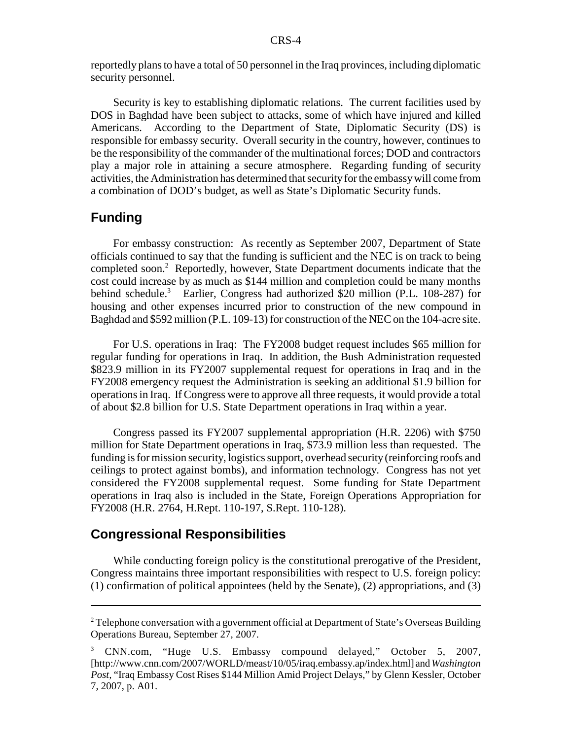reportedly plans to have a total of 50 personnel in the Iraq provinces, including diplomatic security personnel.

Security is key to establishing diplomatic relations. The current facilities used by DOS in Baghdad have been subject to attacks, some of which have injured and killed Americans. According to the Department of State, Diplomatic Security (DS) is responsible for embassy security. Overall security in the country, however, continues to be the responsibility of the commander of the multinational forces; DOD and contractors play a major role in attaining a secure atmosphere. Regarding funding of security activities, the Administration has determined that security for the embassy will come from a combination of DOD's budget, as well as State's Diplomatic Security funds.

### **Funding**

For embassy construction: As recently as September 2007, Department of State officials continued to say that the funding is sufficient and the NEC is on track to being completed soon.<sup>2</sup> Reportedly, however, State Department documents indicate that the cost could increase by as much as \$144 million and completion could be many months behind schedule.<sup>3</sup> Earlier, Congress had authorized \$20 million (P.L. 108-287) for housing and other expenses incurred prior to construction of the new compound in Baghdad and \$592 million (P.L. 109-13) for construction of the NEC on the 104-acre site.

For U.S. operations in Iraq: The FY2008 budget request includes \$65 million for regular funding for operations in Iraq. In addition, the Bush Administration requested \$823.9 million in its FY2007 supplemental request for operations in Iraq and in the FY2008 emergency request the Administration is seeking an additional \$1.9 billion for operations in Iraq. If Congress were to approve all three requests, it would provide a total of about \$2.8 billion for U.S. State Department operations in Iraq within a year.

Congress passed its FY2007 supplemental appropriation (H.R. 2206) with \$750 million for State Department operations in Iraq, \$73.9 million less than requested. The funding is for mission security, logistics support, overhead security (reinforcing roofs and ceilings to protect against bombs), and information technology. Congress has not yet considered the FY2008 supplemental request. Some funding for State Department operations in Iraq also is included in the State, Foreign Operations Appropriation for FY2008 (H.R. 2764, H.Rept. 110-197, S.Rept. 110-128).

#### **Congressional Responsibilities**

While conducting foreign policy is the constitutional prerogative of the President, Congress maintains three important responsibilities with respect to U.S. foreign policy: (1) confirmation of political appointees (held by the Senate), (2) appropriations, and (3)

 $2^2$  Telephone conversation with a government official at Department of State's Overseas Building Operations Bureau, September 27, 2007.

<sup>3</sup> CNN.com, "Huge U.S. Embassy compound delayed," October 5, 2007, [http://www.cnn.com/2007/WORLD/meast/10/05/iraq.embassy.ap/index.html] and *Washington Post,* "Iraq Embassy Cost Rises \$144 Million Amid Project Delays," by Glenn Kessler, October 7, 2007, p. A01.